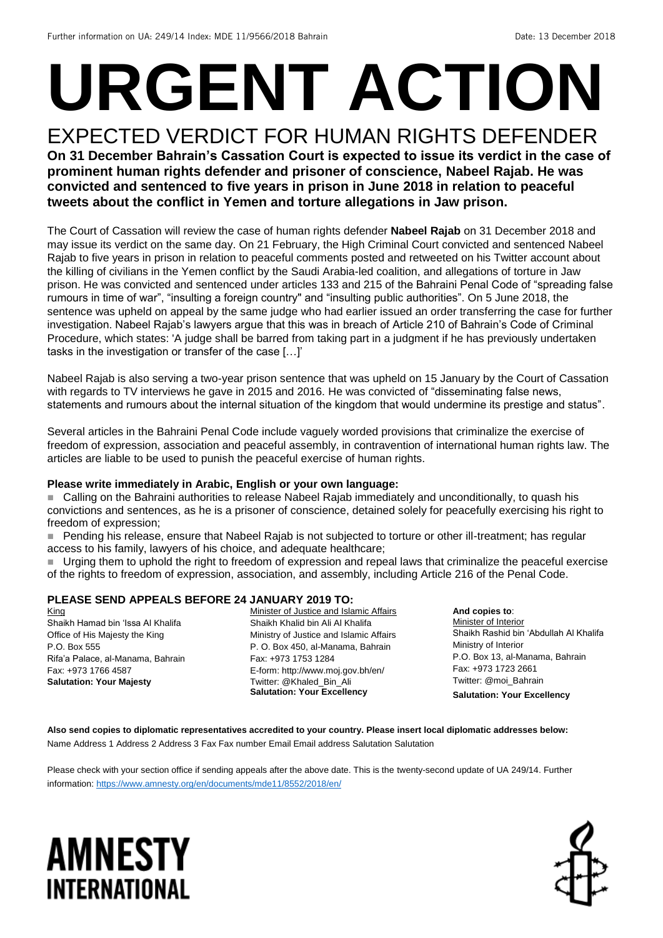# **URGENT ACTION**

#### EXPECTED VERDICT FOR HUMAN RIGHTS DEFENDER **On 31 December Bahrain's Cassation Court is expected to issue its verdict in the case of prominent human rights defender and prisoner of conscience, Nabeel Rajab. He was convicted and sentenced to five years in prison in June 2018 in relation to peaceful tweets about the conflict in Yemen and torture allegations in Jaw prison.**

The Court of Cassation will review the case of human rights defender **Nabeel Rajab** on 31 December 2018 and may issue its verdict on the same day. On 21 February, the High Criminal Court convicted and sentenced Nabeel Rajab to five years in prison in relation to peaceful comments posted and retweeted on his Twitter account about the killing of civilians in the Yemen conflict by the Saudi Arabia-led coalition, and allegations of torture in Jaw prison. He was convicted and sentenced under articles 133 and 215 of the Bahraini Penal Code of "spreading false rumours in time of war", "insulting a foreign country" and "insulting public authorities". On 5 June 2018, the sentence was upheld on appeal by the same judge who had earlier issued an order transferring the case for further investigation. Nabeel Rajab's lawyers argue that this was in breach of Article 210 of Bahrain's Code of Criminal Procedure, which states: 'A judge shall be barred from taking part in a judgment if he has previously undertaken tasks in the investigation or transfer of the case […]'

Nabeel Rajab is also serving a two-year prison sentence that was upheld on 15 January by the Court of Cassation with regards to TV interviews he gave in 2015 and 2016. He was convicted of "disseminating false news, statements and rumours about the internal situation of the kingdom that would undermine its prestige and status".

Several articles in the Bahraini Penal Code include vaguely worded provisions that criminalize the exercise of freedom of expression, association and peaceful assembly, in contravention of international human rights law. The articles are liable to be used to punish the peaceful exercise of human rights.

#### **Please write immediately in Arabic, English or your own language:**

■ Calling on the Bahraini authorities to release Nabeel Rajab immediately and unconditionally, to quash his convictions and sentences, as he is a prisoner of conscience, detained solely for peacefully exercising his right to freedom of expression;

■ Pending his release, ensure that Nabeel Rajab is not subjected to torture or other ill-treatment; has regular access to his family, lawyers of his choice, and adequate healthcare;

 Urging them to uphold the right to freedom of expression and repeal laws that criminalize the peaceful exercise of the rights to freedom of expression, association, and assembly, including Article 216 of the Penal Code.

#### **PLEASE SEND APPEALS BEFORE 24 JANUARY 2019 TO:**

King Shaikh Hamad bin 'Issa Al Khalifa Office of His Majesty the King P.O. Box 555 Rifa'a Palace, al-Manama, Bahrain Fax: +973 1766 4587 **Salutation: Your Majesty**

Minister of Justice and Islamic Affairs Shaikh Khalid bin Ali Al Khalifa Ministry of Justice and Islamic Affairs P. O. Box 450, al-Manama, Bahrain Fax: +973 1753 1284 E-form: http://www.moj.gov.bh/en/ Twitter: @Khaled\_Bin\_Ali **Salutation: Your Excellency**

**And copies to**: Minister of Interior Shaikh Rashid bin 'Abdullah Al Khalifa Ministry of Interior P.O. Box 13, al-Manama, Bahrain Fax: +973 1723 2661 Twitter: @moi\_Bahrain **Salutation: Your Excellency**

**Also send copies to diplomatic representatives accredited to your country. Please insert local diplomatic addresses below:** Name Address 1 Address 2 Address 3 Fax Fax number Email Email address Salutation Salutation

Please check with your section office if sending appeals after the above date. This is the twenty-second update of UA 249/14. Further information[: https://www.amnesty.org/en/documents/mde11/8552/2018/en/](https://www.amnesty.org/en/documents/mde11/8552/2018/en/)